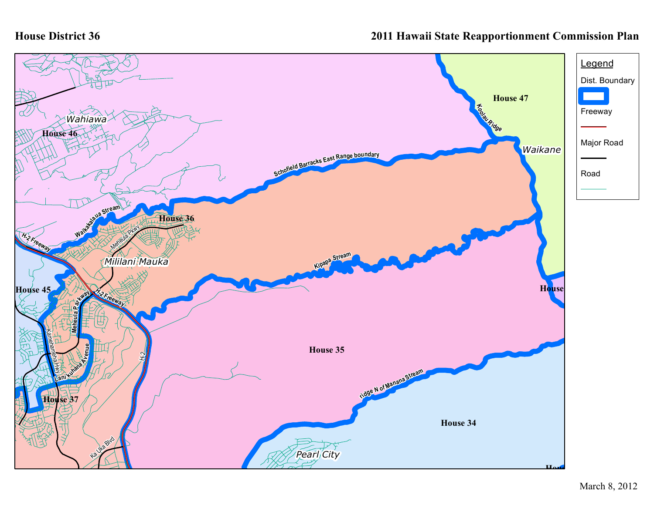## **House District 36**

## **2011 Hawaii State Reapportionment Commission Plan**